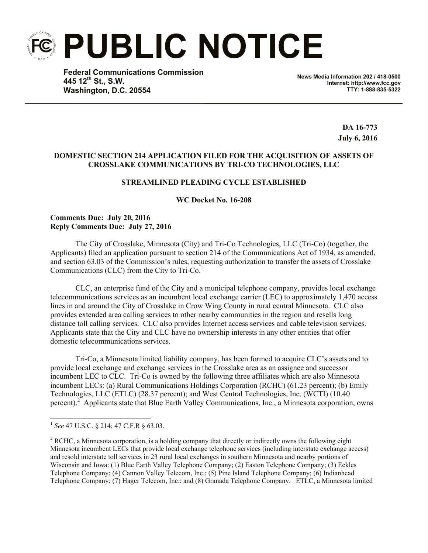**PUBLIC NOTICE**

**Federal Communications Commission 445 12th St., S.W. Washington, D.C. 20554**

**News Media Information 202 / 418-0500 Internet: http://www.fcc.gov TTY: 1-888-835-5322**

> **DA 16-773 July 6, 2016**

### **DOMESTIC SECTION 214 APPLICATION FILED FOR THE ACQUISITION OF ASSETS OF CROSSLAKE COMMUNICATIONS BY TRI-CO TECHNOLOGIES, LLC**

# **STREAMLINED PLEADING CYCLE ESTABLISHED**

**WC Docket No. 16-208**

### **Comments Due: July 20, 2016 Reply Comments Due: July 27, 2016**

The City of Crosslake, Minnesota (City) and Tri-Co Technologies, LLC (Tri-Co) (together, the Applicants) filed an application pursuant to section 214 of the Communications Act of 1934, as amended, and section 63.03 of the Commission's rules, requesting authorization to transfer the assets of Crosslake Communications (CLC) from the City to  $Tri-C<sub>0</sub><sup>1</sup>$ 

CLC, an enterprise fund of the City and a municipal telephone company, provides local exchange telecommunications services as an incumbent local exchange carrier (LEC) to approximately 1,470 access lines in and around the City of Crosslake in Crow Wing County in rural central Minnesota. CLC also provides extended area calling services to other nearby communities in the region and resells long distance toll calling services. CLC also provides Internet access services and cable television services. Applicants state that the City and CLC have no ownership interests in any other entities that offer domestic telecommunications services.

Tri-Co, a Minnesota limited liability company, has been formed to acquire CLC's assets and to provide local exchange and exchange services in the Crosslake area as an assignee and successor incumbent LEC to CLC. Tri-Co is owned by the following three affiliates which are also Minnesota incumbent LECs: (a) Rural Communications Holdings Corporation (RCHC) (61.23 percent); (b) Emily Technologies, LLC (ETLC) (28.37 percent); and West Central Technologies, Inc. (WCTI) (10.40 percent).<sup>2</sup> Applicants state that Blue Earth Valley Communications, Inc., a Minnesota corporation, owns

 1 *See* 47 U.S.C. § 214; 47 C.F.R § 63.03.

<sup>&</sup>lt;sup>2</sup> RCHC, a Minnesota corporation, is a holding company that directly or indirectly owns the following eight Minnesota incumbent LECs that provide local exchange telephone services (including interstate exchange access) and resold interstate toll services in 23 rural local exchanges in southern Minnesota and nearby portions of Wisconsin and Iowa: (1) Blue Earth Valley Telephone Company; (2) Easton Telephone Company; (3) Eckles Telephone Company; (4) Cannon Valley Telecom, Inc.; (5) Pine Island Telephone Company; (6) Indianhead Telephone Company; (7) Hager Telecom, Inc.; and (8) Granada Telephone Company. ETLC, a Minnesota limited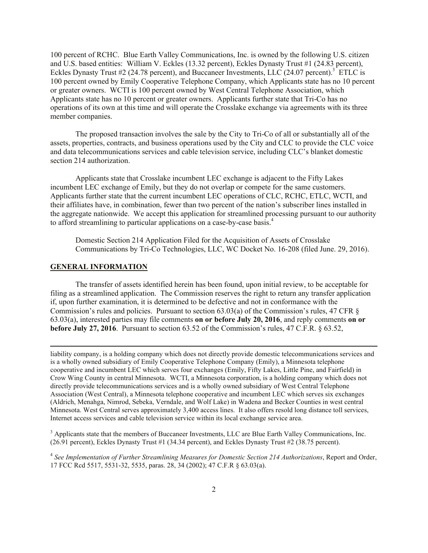100 percent of RCHC. Blue Earth Valley Communications, Inc. is owned by the following U.S. citizen and U.S. based entities: William V. Eckles (13.32 percent), Eckles Dynasty Trust #1 (24.83 percent), Eckles Dynasty Trust #2 (24.78 percent), and Buccaneer Investments, LLC (24.07 percent).<sup>3</sup> ETLC is 100 percent owned by Emily Cooperative Telephone Company, which Applicants state has no 10 percent or greater owners. WCTI is 100 percent owned by West Central Telephone Association, which Applicants state has no 10 percent or greater owners. Applicants further state that Tri-Co has no operations of its own at this time and will operate the Crosslake exchange via agreements with its three member companies.

The proposed transaction involves the sale by the City to Tri-Co of all or substantially all of the assets, properties, contracts, and business operations used by the City and CLC to provide the CLC voice and data telecommunications services and cable television service, including CLC's blanket domestic section 214 authorization.

Applicants state that Crosslake incumbent LEC exchange is adjacent to the Fifty Lakes incumbent LEC exchange of Emily, but they do not overlap or compete for the same customers. Applicants further state that the current incumbent LEC operations of CLC, RCHC, ETLC, WCTI, and their affiliates have, in combination, fewer than two percent of the nation's subscriber lines installed in the aggregate nationwide. We accept this application for streamlined processing pursuant to our authority to afford streamlining to particular applications on a case-by-case basis.<sup>4</sup>

Domestic Section 214 Application Filed for the Acquisition of Assets of Crosslake Communications by Tri-Co Technologies, LLC, WC Docket No. 16-208 (filed June. 29, 2016).

#### **GENERAL INFORMATION**

l

The transfer of assets identified herein has been found, upon initial review, to be acceptable for filing as a streamlined application. The Commission reserves the right to return any transfer application if, upon further examination, it is determined to be defective and not in conformance with the Commission's rules and policies. Pursuant to section 63.03(a) of the Commission's rules, 47 CFR § 63.03(a), interested parties may file comments **on or before July 20, 2016**, and reply comments **on or before July 27, 2016**. Pursuant to section 63.52 of the Commission's rules, 47 C.F.R. § 63.52,

liability company, is a holding company which does not directly provide domestic telecommunications services and is a wholly owned subsidiary of Emily Cooperative Telephone Company (Emily), a Minnesota telephone cooperative and incumbent LEC which serves four exchanges (Emily, Fifty Lakes, Little Pine, and Fairfield) in Crow Wing County in central Minnesota. WCTI, a Minnesota corporation, is a holding company which does not directly provide telecommunications services and is a wholly owned subsidiary of West Central Telephone Association (West Central), a Minnesota telephone cooperative and incumbent LEC which serves six exchanges (Aldrich, Menahga, Nimrod, Sebeka, Verndale, and Wolf Lake) in Wadena and Becker Counties in west central Minnesota. West Central serves approximately 3,400 access lines. It also offers resold long distance toll services, Internet access services and cable television service within its local exchange service area.

<sup>3</sup> Applicants state that the members of Buccaneer Investments, LLC are Blue Earth Valley Communications, Inc. (26.91 percent), Eckles Dynasty Trust #1 (34.34 percent), and Eckles Dynasty Trust #2 (38.75 percent).

<sup>4</sup> *See Implementation of Further Streamlining Measures for Domestic Section 214 Authorizations*, Report and Order, 17 FCC Rcd 5517, 5531-32, 5535, paras. 28, 34 (2002); 47 C.F.R § 63.03(a).